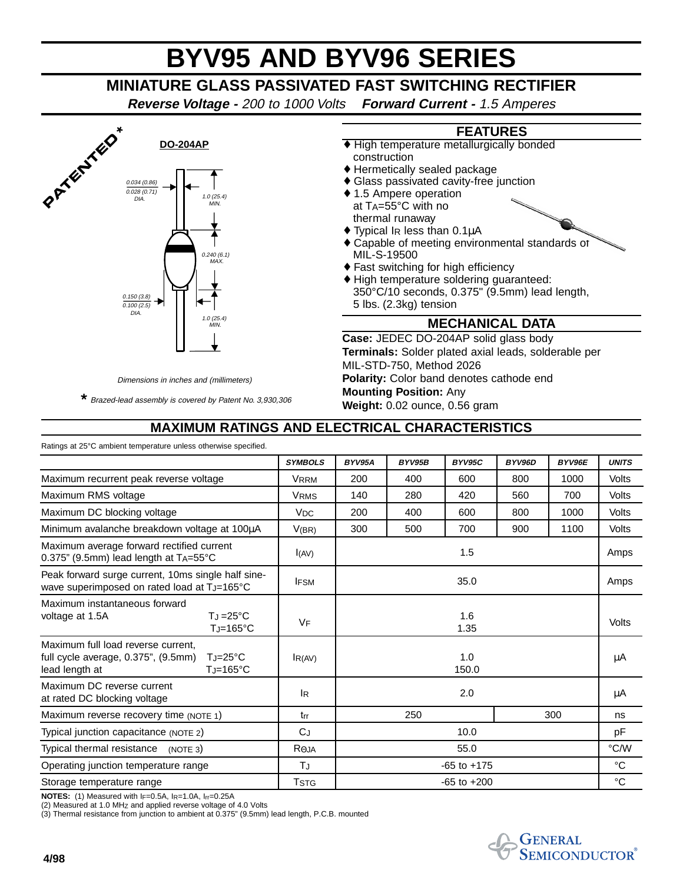# **BYV95 AND BYV96 SERIES**

## **MINIATURE GLASS PASSIVATED FAST SWITCHING RECTIFIER**

**Reverse Voltage -** 200 to 1000 Volts **Forward Current -** 1.5 Amperes



Dimensions in inches and (millimeters) \*Brazed-lead assembly is covered by Patent No. 3,930,306

construction ♦ Hermetically sealed package ♦ Glass passivated cavity-free junction ◆ 1.5 Ampere operation at  $T_A = 55^{\circ}$ C with no

♦ High temperature metallurgically bonded

**FEATURES**

- thermal runaway  $\blacklozenge$  Typical IR less than 0.1 $\mu$ A
- ♦ Capable of meeting environmental standards of MIL-S-19500
- ♦ Fast switching for high efficiency
- ♦ High temperature soldering guaranteed: 350°C/10 seconds, 0.375" (9.5mm) lead length, 5 lbs. (2.3kg) tension

#### **MECHANICAL DATA**

**Case:** JEDEC DO-204AP solid glass body **Terminals:** Solder plated axial leads, solderable per MIL-STD-750, Method 2026 **Polarity:** Color band denotes cathode end **Mounting Position:** Any **Weight:** 0.02 ounce, 0.56 gram

### **MAXIMUM RATINGS AND ELECTRICAL CHARACTERISTICS**

| Ratings at 25°C ambient temperature unless otherwise specified. |                 |        |        |        |             |              |
|-----------------------------------------------------------------|-----------------|--------|--------|--------|-------------|--------------|
| <b>SYMBOLS</b>                                                  | BYV95A          | BYV95B | BYV95C | BYV96D | BYV96E      | <b>UNITS</b> |
| <b>VRRM</b>                                                     | 200             | 400    | 600    | 800    | 1000        | Volts        |
| <b>VRMS</b>                                                     | 140             | 280    | 420    | 560    | 700         | Volts        |
| <b>V<sub>DC</sub></b>                                           | 200             | 400    | 600    | 800    | 1000        | Volts        |
| V(BR)                                                           | 300             | 500    | 700    | 900    | 1100        | Volts        |
| I(AV)                                                           |                 |        | 1.5    |        |             | Amps         |
| <b>IFSM</b>                                                     | 35.0            |        |        |        |             | Amps         |
| <b>VF</b>                                                       | 1.6<br>1.35     |        |        |        |             | Volts        |
| I <sub>R</sub> (AV)                                             | 1.0<br>150.0    |        |        |        |             | μA           |
| <sup>IR</sup>                                                   | 2.0             |        |        |        |             | μA           |
| trr                                                             |                 | 250    |        |        |             | ns           |
| CJ                                                              | 10.0            |        |        |        | pF          |              |
| <b>RAJA</b>                                                     | 55.0            |        |        |        | °C/W        |              |
| TJ                                                              | $-65$ to $+175$ |        |        |        | $^{\circ}C$ |              |
| <b>T</b> stg                                                    | $-65$ to $+200$ |        |        |        |             | $^{\circ}C$  |
|                                                                 |                 |        |        |        |             | 300          |

**NOTES:** (1) Measured with IF=0.5A, IR=1.0A, Irr=0.25A

(2) Measured at 1.0 MHZ and applied reverse voltage of 4.0 Volts (3) Thermal resistance from junction to ambient at 0.375" (9.5mm) lead length, P.C.B. mounted